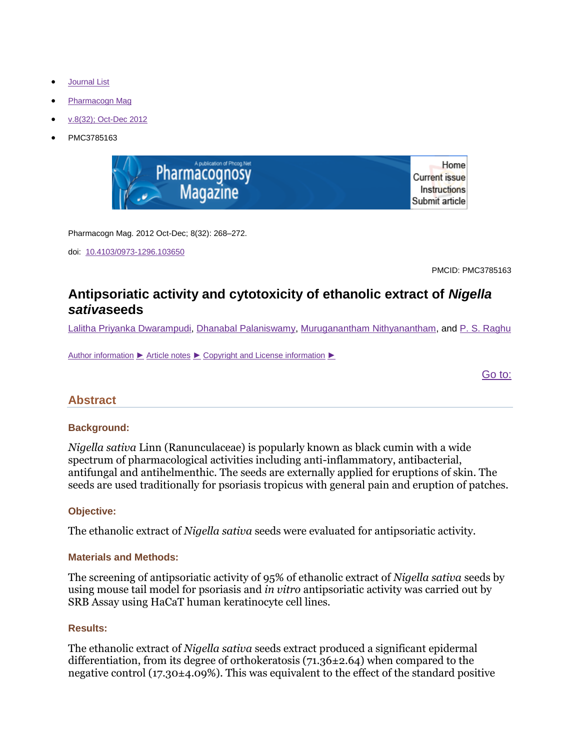- **[Journal List](http://www.ncbi.nlm.nih.gov/pmc/journals/)**
- [Pharmacogn Mag](http://www.ncbi.nlm.nih.gov/pmc/journals/1245/)
- [v.8\(32\); Oct-Dec 2012](http://www.ncbi.nlm.nih.gov/pmc/issues/227976/)
- PMC3785163



Pharmacogn Mag. 2012 Oct-Dec; 8(32): 268–272.

doi: [10.4103/0973-1296.103650](http://dx.doi.org/10.4103%2F0973-1296.103650)

PMCID: PMC3785163

# **Antipsoriatic activity and cytotoxicity of ethanolic extract of** *Nigella sativa***seeds**

[Lalitha Priyanka Dwarampudi,](http://www.ncbi.nlm.nih.gov/pubmed/?term=Dwarampudi%20LP%5Bauth%5D) [Dhanabal Palaniswamy,](http://www.ncbi.nlm.nih.gov/pubmed/?term=Palaniswamy%20D%5Bauth%5D) [Muruganantham Nithyanantham,](http://www.ncbi.nlm.nih.gov/pubmed/?term=Nithyanantham%20M%5Bauth%5D) and [P. S. Raghu](http://www.ncbi.nlm.nih.gov/pubmed/?term=Raghu%20PS%5Bauth%5D)

[Author information](http://www.ncbi.nlm.nih.gov/pmc/articles/PMC3785163/?report=classic) ► [Article notes](http://www.ncbi.nlm.nih.gov/pmc/articles/PMC3785163/?report=classic) ► [Copyright and License information](http://www.ncbi.nlm.nih.gov/pmc/articles/PMC3785163/?report=classic) ►

[Go to:](http://www.ncbi.nlm.nih.gov/pmc/articles/PMC3785163/?report=classic)

## **Abstract**

## **Background:**

*Nigella sativa* Linn (Ranunculaceae) is popularly known as black cumin with a wide spectrum of pharmacological activities including anti-inflammatory, antibacterial, antifungal and antihelmenthic. The seeds are externally applied for eruptions of skin. The seeds are used traditionally for psoriasis tropicus with general pain and eruption of patches.

### **Objective:**

The ethanolic extract of *Nigella sativa* seeds were evaluated for antipsoriatic activity.

### **Materials and Methods:**

The screening of antipsoriatic activity of 95% of ethanolic extract of *Nigella sativa* seeds by using mouse tail model for psoriasis and *in vitro* antipsoriatic activity was carried out by SRB Assay using HaCaT human keratinocyte cell lines.

### **Results:**

The ethanolic extract of *Nigella sativa* seeds extract produced a significant epidermal differentiation, from its degree of orthokeratosis (71.36±2.64) when compared to the negative control (17.30±4.09%). This was equivalent to the effect of the standard positive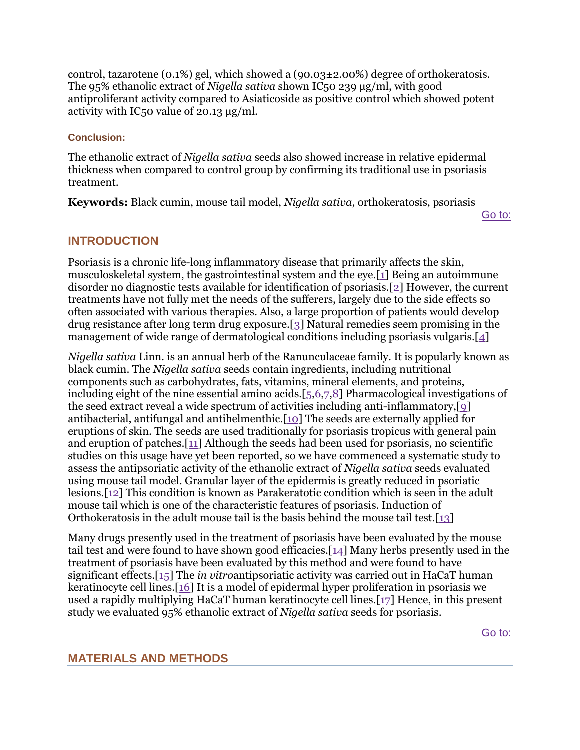control, tazarotene (0.1%) gel, which showed a (90.03±2.00%) degree of orthokeratosis. The 95% ethanolic extract of *Nigella sativa* shown IC50 239 μg/ml, with good antiproliferant activity compared to Asiaticoside as positive control which showed potent activity with IC50 value of 20.13 μg/ml.

## **Conclusion:**

The ethanolic extract of *Nigella sativa* seeds also showed increase in relative epidermal thickness when compared to control group by confirming its traditional use in psoriasis treatment.

**Keywords:** Black cumin, mouse tail model, *Nigella sativa*, orthokeratosis, psoriasis

[Go to:](http://www.ncbi.nlm.nih.gov/pmc/articles/PMC3785163/?report=classic)

# **INTRODUCTION**

Psoriasis is a chronic life-long inflammatory disease that primarily affects the skin, musculoskeletal system, the gastrointestinal system and the eye.[\[1\]](http://www.ncbi.nlm.nih.gov/pmc/articles/PMC3785163/?report=classic#ref1) Being an autoimmune disorder no diagnostic tests available for identification of psoriasis.[\[2\]](http://www.ncbi.nlm.nih.gov/pmc/articles/PMC3785163/?report=classic#ref2) However, the current treatments have not fully met the needs of the sufferers, largely due to the side effects so often associated with various therapies. Also, a large proportion of patients would develop drug resistance after long term drug exposure.[\[3\]](http://www.ncbi.nlm.nih.gov/pmc/articles/PMC3785163/?report=classic#ref3) Natural remedies seem promising in the management of wide range of dermatological conditions including psoriasis vulgaris.[\[4\]](http://www.ncbi.nlm.nih.gov/pmc/articles/PMC3785163/?report=classic#ref4)

*Nigella sativa* Linn. is an annual herb of the Ranunculaceae family. It is popularly known as black cumin. The *Nigella sativa* seeds contain ingredients, including nutritional components such as carbohydrates, fats, vitamins, mineral elements, and proteins, including eight of the nine essential amino acids.[\[5](http://www.ncbi.nlm.nih.gov/pmc/articles/PMC3785163/?report=classic#ref5)[,6](http://www.ncbi.nlm.nih.gov/pmc/articles/PMC3785163/?report=classic#ref6)[,7](http://www.ncbi.nlm.nih.gov/pmc/articles/PMC3785163/?report=classic#ref7)[,8\]](http://www.ncbi.nlm.nih.gov/pmc/articles/PMC3785163/?report=classic#ref8) Pharmacological investigations of the seed extract reveal a wide spectrum of activities including anti-inflammatory,[\[9\]](http://www.ncbi.nlm.nih.gov/pmc/articles/PMC3785163/?report=classic#ref9) antibacterial, antifungal and antihelmenthic.[\[10\]](http://www.ncbi.nlm.nih.gov/pmc/articles/PMC3785163/?report=classic#ref10) The seeds are externally applied for eruptions of skin. The seeds are used traditionally for psoriasis tropicus with general pain and eruption of patches.[\[11\]](http://www.ncbi.nlm.nih.gov/pmc/articles/PMC3785163/?report=classic#ref11) Although the seeds had been used for psoriasis, no scientific studies on this usage have yet been reported, so we have commenced a systematic study to assess the antipsoriatic activity of the ethanolic extract of *Nigella sativa* seeds evaluated using mouse tail model. Granular layer of the epidermis is greatly reduced in psoriatic lesions.[\[12\]](http://www.ncbi.nlm.nih.gov/pmc/articles/PMC3785163/?report=classic#ref12) This condition is known as Parakeratotic condition which is seen in the adult mouse tail which is one of the characteristic features of psoriasis. Induction of Orthokeratosis in the adult mouse tail is the basis behind the mouse tail test.[\[13\]](http://www.ncbi.nlm.nih.gov/pmc/articles/PMC3785163/?report=classic#ref13)

Many drugs presently used in the treatment of psoriasis have been evaluated by the mouse tail test and were found to have shown good efficacies.[\[14\]](http://www.ncbi.nlm.nih.gov/pmc/articles/PMC3785163/?report=classic#ref14) Many herbs presently used in the treatment of psoriasis have been evaluated by this method and were found to have significant effects.[\[15\]](http://www.ncbi.nlm.nih.gov/pmc/articles/PMC3785163/?report=classic#ref15) The *in vitro*antipsoriatic activity was carried out in HaCaT human keratinocyte cell lines.[\[16\]](http://www.ncbi.nlm.nih.gov/pmc/articles/PMC3785163/?report=classic#ref16) It is a model of epidermal hyper proliferation in psoriasis we used a rapidly multiplying HaCaT human keratinocyte cell lines.[\[17\]](http://www.ncbi.nlm.nih.gov/pmc/articles/PMC3785163/?report=classic#ref17) Hence, in this present study we evaluated 95% ethanolic extract of *Nigella sativa* seeds for psoriasis.

[Go to:](http://www.ncbi.nlm.nih.gov/pmc/articles/PMC3785163/?report=classic)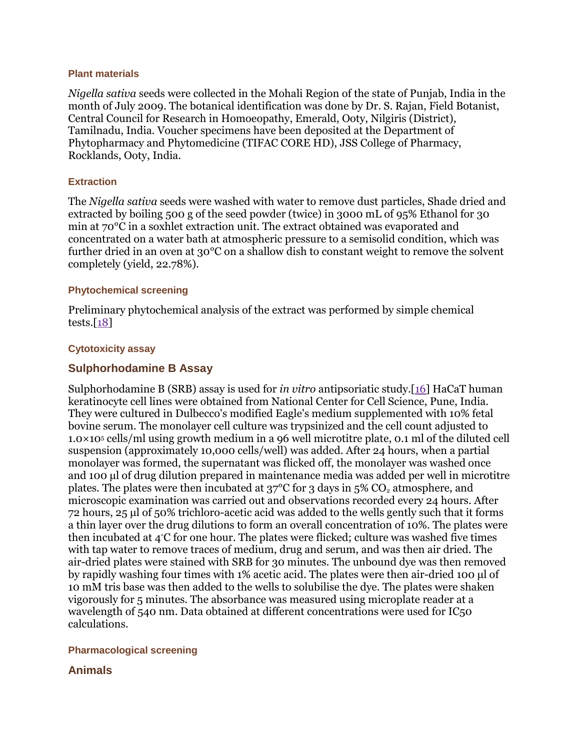#### **Plant materials**

*Nigella sativa* seeds were collected in the Mohali Region of the state of Punjab, India in the month of July 2009. The botanical identification was done by Dr. S. Rajan, Field Botanist, Central Council for Research in Homoeopathy, Emerald, Ooty, Nilgiris (District), Tamilnadu, India. Voucher specimens have been deposited at the Department of Phytopharmacy and Phytomedicine (TIFAC CORE HD), JSS College of Pharmacy, Rocklands, Ooty, India.

### **Extraction**

The *Nigella sativa* seeds were washed with water to remove dust particles, Shade dried and extracted by boiling 500 g of the seed powder (twice) in 3000 mL of 95% Ethanol for 30 min at 70°C in a soxhlet extraction unit. The extract obtained was evaporated and concentrated on a water bath at atmospheric pressure to a semisolid condition, which was further dried in an oven at 30°C on a shallow dish to constant weight to remove the solvent completely (yield, 22.78%).

### **Phytochemical screening**

Preliminary phytochemical analysis of the extract was performed by simple chemical tests. $[18]$ 

### **Cytotoxicity assay**

## **Sulphorhodamine B Assay**

Sulphorhodamine B (SRB) assay is used for *in vitro* antipsoriatic study.[\[16\]](http://www.ncbi.nlm.nih.gov/pmc/articles/PMC3785163/?report=classic#ref16) HaCaT human keratinocyte cell lines were obtained from National Center for Cell Science, Pune, India. They were cultured in Dulbecco's modified Eagle's medium supplemented with 10% fetal bovine serum. The monolayer cell culture was trypsinized and the cell count adjusted to 1.0×10<sup>5</sup> cells/ml using growth medium in a 96 well microtitre plate, 0.1 ml of the diluted cell suspension (approximately 10,000 cells/well) was added. After 24 hours, when a partial monolayer was formed, the supernatant was flicked off, the monolayer was washed once and 100 μl of drug dilution prepared in maintenance media was added per well in microtitre plates. The plates were then incubated at  $37^{\circ}$ C for 3 days in  $5\%$  CO<sub>2</sub> atmosphere, and microscopic examination was carried out and observations recorded every 24 hours. After 72 hours, 25 μl of 50% trichloro-acetic acid was added to the wells gently such that it forms a thin layer over the drug dilutions to form an overall concentration of 10%. The plates were then incubated at 4°C for one hour. The plates were flicked; culture was washed five times with tap water to remove traces of medium, drug and serum, and was then air dried. The air-dried plates were stained with SRB for 30 minutes. The unbound dye was then removed by rapidly washing four times with 1% acetic acid. The plates were then air-dried 100 μl of 10 mM tris base was then added to the wells to solubilise the dye. The plates were shaken vigorously for 5 minutes. The absorbance was measured using microplate reader at a wavelength of 540 nm. Data obtained at different concentrations were used for IC50 calculations.

## **Pharmacological screening**

## **Animals**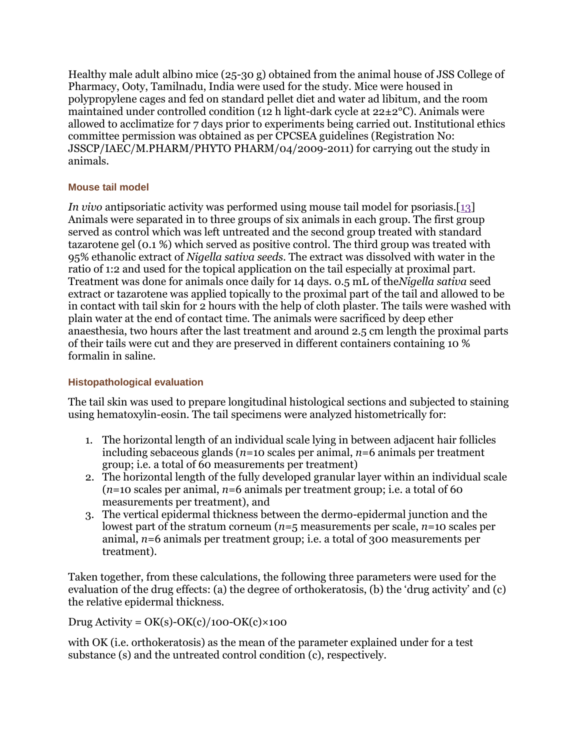Healthy male adult albino mice (25-30 g) obtained from the animal house of JSS College of Pharmacy, Ooty, Tamilnadu, India were used for the study. Mice were housed in polypropylene cages and fed on standard pellet diet and water ad libitum, and the room maintained under controlled condition (12 h light-dark cycle at  $22\pm2^{\circ}$ C). Animals were allowed to acclimatize for 7 days prior to experiments being carried out. Institutional ethics committee permission was obtained as per CPCSEA guidelines (Registration No: JSSCP/IAEC/M.PHARM/PHYTO PHARM/04/2009-2011) for carrying out the study in animals.

## **Mouse tail model**

*In vivo* antipsoriatic activity was performed using mouse tail model for psoriasis.[\[13\]](http://www.ncbi.nlm.nih.gov/pmc/articles/PMC3785163/?report=classic#ref13) Animals were separated in to three groups of six animals in each group. The first group served as control which was left untreated and the second group treated with standard tazarotene gel (0.1 %) which served as positive control. The third group was treated with 95% ethanolic extract of *Nigella sativa seeds*. The extract was dissolved with water in the ratio of 1:2 and used for the topical application on the tail especially at proximal part. Treatment was done for animals once daily for 14 days. 0.5 mL of the*Nigella sativa* seed extract or tazarotene was applied topically to the proximal part of the tail and allowed to be in contact with tail skin for 2 hours with the help of cloth plaster. The tails were washed with plain water at the end of contact time. The animals were sacrificed by deep ether anaesthesia, two hours after the last treatment and around 2.5 cm length the proximal parts of their tails were cut and they are preserved in different containers containing 10 % formalin in saline.

# **Histopathological evaluation**

The tail skin was used to prepare longitudinal histological sections and subjected to staining using hematoxylin-eosin. The tail specimens were analyzed histometrically for:

- 1. The horizontal length of an individual scale lying in between adjacent hair follicles including sebaceous glands (*n*=10 scales per animal, *n*=6 animals per treatment group; i.e. a total of 60 measurements per treatment)
- 2. The horizontal length of the fully developed granular layer within an individual scale (*n*=10 scales per animal, *n*=6 animals per treatment group; i.e. a total of 60 measurements per treatment), and
- 3. The vertical epidermal thickness between the dermo-epidermal junction and the lowest part of the stratum corneum (*n*=5 measurements per scale, *n*=10 scales per animal, *n*=6 animals per treatment group; i.e. a total of 300 measurements per treatment).

Taken together, from these calculations, the following three parameters were used for the evaluation of the drug effects: (a) the degree of orthokeratosis, (b) the 'drug activity' and (c) the relative epidermal thickness.

Drug Activity =  $OK(s)$ -OK(c)/100-OK(c)×100

with OK (i.e. orthokeratosis) as the mean of the parameter explained under for a test substance (s) and the untreated control condition (c), respectively.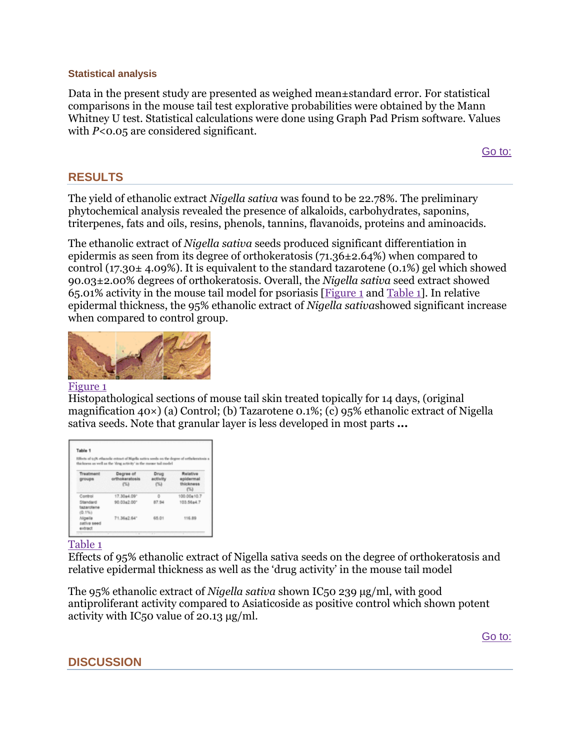### **Statistical analysis**

Data in the present study are presented as weighed mean±standard error. For statistical comparisons in the mouse tail test explorative probabilities were obtained by the Mann Whitney U test. Statistical calculations were done using Graph Pad Prism software. Values with *P*<0.05 are considered significant.

[Go to:](http://www.ncbi.nlm.nih.gov/pmc/articles/PMC3785163/?report=classic)

## **RESULTS**

The yield of ethanolic extract *Nigella sativa* was found to be 22.78%. The preliminary phytochemical analysis revealed the presence of alkaloids, carbohydrates, saponins, triterpenes, fats and oils, resins, phenols, tannins, flavanoids, proteins and aminoacids.

The ethanolic extract of *Nigella sativa* seeds produced significant differentiation in epidermis as seen from its degree of orthokeratosis (71.36±2.64%) when compared to control (17.30 $\pm$  4.09%). It is equivalent to the standard tazarotene (0.1%) gel which showed 90.03±2.00% degrees of orthokeratosis. Overall, the *Nigella sativa* seed extract showed 65.01% activity in the mouse tail model for psoriasis [\[Figure 1](http://www.ncbi.nlm.nih.gov/pmc/articles/PMC3785163/figure/F1/) and [Table 1\]](http://www.ncbi.nlm.nih.gov/pmc/articles/PMC3785163/table/T1/). In relative epidermal thickness, the 95% ethanolic extract of *Nigella sativa*showed significant increase when compared to control group.



### [Figure 1](http://www.ncbi.nlm.nih.gov/pmc/articles/PMC3785163/figure/F1/)

Histopathological sections of mouse tail skin treated topically for 14 days, (original magnification 40×) (a) Control; (b) Tazarotene 0.1%; (c) 95% ethanolic extract of Nigella sativa seeds. Note that granular layer is less developed in most parts **...**

| Effects of 0.5% ethanolic extract of Nigella sativa seeds on the degree of ortholoratosis a<br>thickness as well as the 'drug activity' in the mouse tail model |                                     |                          |                                            |
|-----------------------------------------------------------------------------------------------------------------------------------------------------------------|-------------------------------------|--------------------------|--------------------------------------------|
| Traatmant<br>groups                                                                                                                                             | Decree of<br>orthokeratosis<br>(54) | Drug<br>activity<br>(74) | Relative<br>epidermal<br>thickness<br>(55) |
| Control                                                                                                                                                         | 17.30+4.09*                         | ٥                        | 100.00±10.7                                |
| Standard<br>tazarotene<br>(0.1%)                                                                                                                                | 90.03+2.00*                         | 87.54                    | 103.56a4.7                                 |
| Nigella<br>sativa seed<br>extract                                                                                                                               | 71.3642.641                         | 65.01                    | 116.89                                     |

## [Table 1](http://www.ncbi.nlm.nih.gov/pmc/articles/PMC3785163/table/T1/)

Effects of 95% ethanolic extract of Nigella sativa seeds on the degree of orthokeratosis and relative epidermal thickness as well as the 'drug activity' in the mouse tail model

The 95% ethanolic extract of *Nigella sativa* shown IC50 239 μg/ml, with good antiproliferant activity compared to Asiaticoside as positive control which shown potent activity with IC50 value of 20.13 μg/ml.

[Go to:](http://www.ncbi.nlm.nih.gov/pmc/articles/PMC3785163/?report=classic)

**DISCUSSION**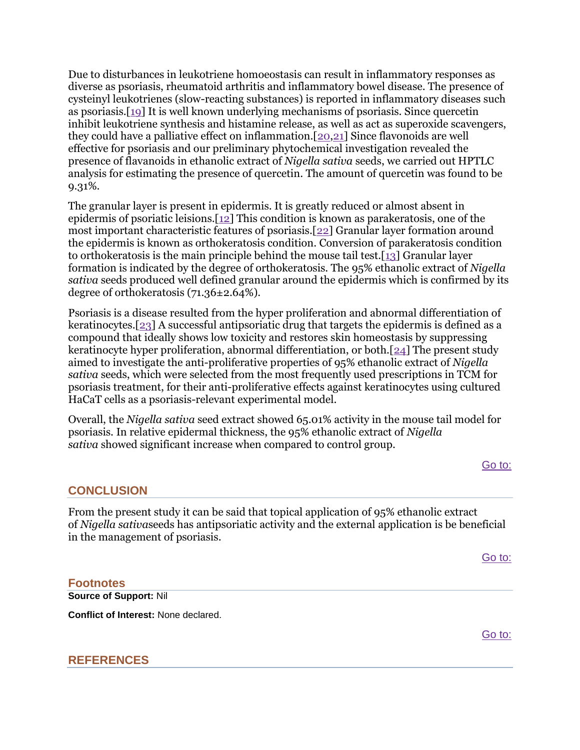Due to disturbances in leukotriene homoeostasis can result in inflammatory responses as diverse as psoriasis, rheumatoid arthritis and inflammatory bowel disease. The presence of cysteinyl leukotrienes (slow-reacting substances) is reported in inflammatory diseases such as psoriasis.[\[19\]](http://www.ncbi.nlm.nih.gov/pmc/articles/PMC3785163/?report=classic#ref19) It is well known underlying mechanisms of psoriasis. Since quercetin inhibit leukotriene synthesis and histamine release, as well as act as superoxide scavengers, they could have a palliative effect on inflammation.[\[20](http://www.ncbi.nlm.nih.gov/pmc/articles/PMC3785163/?report=classic#ref20)[,21\]](http://www.ncbi.nlm.nih.gov/pmc/articles/PMC3785163/?report=classic#ref21) Since flavonoids are well effective for psoriasis and our preliminary phytochemical investigation revealed the presence of flavanoids in ethanolic extract of *Nigella sativa* seeds, we carried out HPTLC analysis for estimating the presence of quercetin. The amount of quercetin was found to be 9.31%.

The granular layer is present in epidermis. It is greatly reduced or almost absent in epidermis of psoriatic leisions.[\[12\]](http://www.ncbi.nlm.nih.gov/pmc/articles/PMC3785163/?report=classic#ref12) This condition is known as parakeratosis, one of the most important characteristic features of psoriasis.[\[22\]](http://www.ncbi.nlm.nih.gov/pmc/articles/PMC3785163/?report=classic#ref22) Granular layer formation around the epidermis is known as orthokeratosis condition. Conversion of parakeratosis condition to orthokeratosis is the main principle behind the mouse tail test.[\[13\]](http://www.ncbi.nlm.nih.gov/pmc/articles/PMC3785163/?report=classic#ref13) Granular layer formation is indicated by the degree of orthokeratosis. The 95% ethanolic extract of *Nigella sativa* seeds produced well defined granular around the epidermis which is confirmed by its degree of orthokeratosis (71.36±2.64%).

Psoriasis is a disease resulted from the hyper proliferation and abnormal differentiation of keratinocytes.[\[23\]](http://www.ncbi.nlm.nih.gov/pmc/articles/PMC3785163/?report=classic#ref23) A successful antipsoriatic drug that targets the epidermis is defined as a compound that ideally shows low toxicity and restores skin homeostasis by suppressing keratinocyte hyper proliferation, abnormal differentiation, or both.[\[24\]](http://www.ncbi.nlm.nih.gov/pmc/articles/PMC3785163/?report=classic#ref24) The present study aimed to investigate the anti-proliferative properties of 95% ethanolic extract of *Nigella sativa* seeds, which were selected from the most frequently used prescriptions in TCM for psoriasis treatment, for their anti-proliferative effects against keratinocytes using cultured HaCaT cells as a psoriasis-relevant experimental model.

Overall, the *Nigella sativa* seed extract showed 65.01% activity in the mouse tail model for psoriasis. In relative epidermal thickness, the 95% ethanolic extract of *Nigella sativa* showed significant increase when compared to control group.

[Go to:](http://www.ncbi.nlm.nih.gov/pmc/articles/PMC3785163/?report=classic)

# **CONCLUSION**

From the present study it can be said that topical application of 95% ethanolic extract of *Nigella sativa*seeds has antipsoriatic activity and the external application is be beneficial in the management of psoriasis.

[Go to:](http://www.ncbi.nlm.nih.gov/pmc/articles/PMC3785163/?report=classic)

# **Footnotes Source of Support:** Nil **Conflict of Interest:** None declared.

[Go to:](http://www.ncbi.nlm.nih.gov/pmc/articles/PMC3785163/?report=classic)

## **REFERENCES**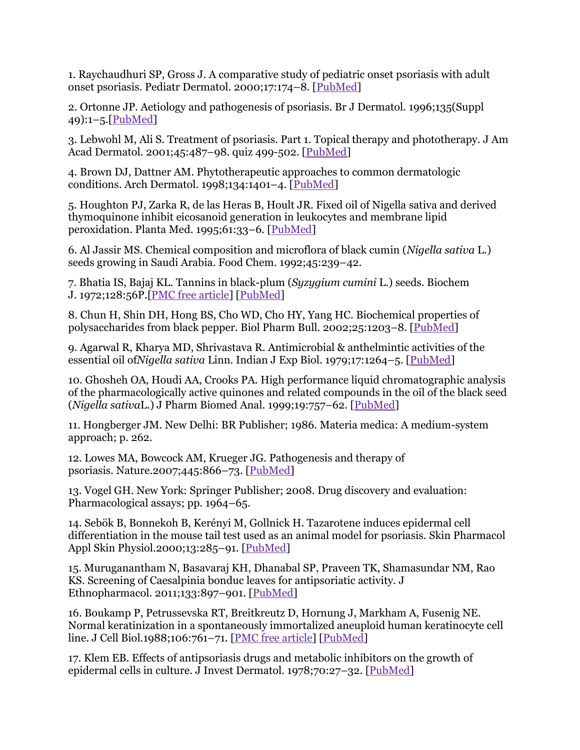1. Raychaudhuri SP, Gross J. A comparative study of pediatric onset psoriasis with adult onset psoriasis. Pediatr Dermatol. 2000;17:174–8. [\[PubMed\]](http://www.ncbi.nlm.nih.gov/pubmed/10886746)

2. Ortonne JP. Aetiology and pathogenesis of psoriasis. Br J Dermatol. 1996;135(Suppl 49):1–5.[\[PubMed\]](http://www.ncbi.nlm.nih.gov/pubmed/9035700)

3. Lebwohl M, Ali S. Treatment of psoriasis. Part 1. Topical therapy and phototherapy. J Am Acad Dermatol. 2001;45:487–98. quiz 499-502. [\[PubMed\]](http://www.ncbi.nlm.nih.gov/pubmed/11568737)

4. Brown DJ, Dattner AM. Phytotherapeutic approaches to common dermatologic conditions. Arch Dermatol. 1998;134:1401–4. [\[PubMed\]](http://www.ncbi.nlm.nih.gov/pubmed/9828875)

5. Houghton PJ, Zarka R, de las Heras B, Hoult JR. Fixed oil of Nigella sativa and derived thymoquinone inhibit eicosanoid generation in leukocytes and membrane lipid peroxidation. Planta Med. 1995;61:33–6. [\[PubMed\]](http://www.ncbi.nlm.nih.gov/pubmed/7700988)

6. Al Jassir MS. Chemical composition and microflora of black cumin (*Nigella sativa* L.) seeds growing in Saudi Arabia. Food Chem. 1992;45:239–42.

7. Bhatia IS, Bajaj KL. Tannins in black-plum (*Syzygium cumini* L.) seeds. Biochem J. 1972;128:56P.[\[PMC free article\]](http://www.ncbi.nlm.nih.gov/pmc/articles/PMC1173711/) [\[PubMed\]](http://www.ncbi.nlm.nih.gov/pubmed/5085637)

8. Chun H, Shin DH, Hong BS, Cho WD, Cho HY, Yang HC. Biochemical properties of polysaccharides from black pepper. Biol Pharm Bull. 2002;25:1203–8. [\[PubMed\]](http://www.ncbi.nlm.nih.gov/pubmed/12230118)

9. Agarwal R, Kharya MD, Shrivastava R. Antimicrobial & anthelmintic activities of the essential oil of*Nigella sativa* Linn. Indian J Exp Biol. 1979;17:1264–5. [\[PubMed\]](http://www.ncbi.nlm.nih.gov/pubmed/549848)

10. Ghosheh OA, Houdi AA, Crooks PA. High performance liquid chromatographic analysis of the pharmacologically active quinones and related compounds in the oil of the black seed (*Nigella sativa*L.) J Pharm Biomed Anal. 1999;19:757–62. [\[PubMed\]](http://www.ncbi.nlm.nih.gov/pubmed/10698539)

11. Hongberger JM. New Delhi: BR Publisher; 1986. Materia medica: A medium-system approach; p. 262.

12. Lowes MA, Bowcock AM, Krueger JG. Pathogenesis and therapy of psoriasis. Nature.2007;445:866–73. [\[PubMed\]](http://www.ncbi.nlm.nih.gov/pubmed/17314973)

13. Vogel GH. New York: Springer Publisher; 2008. Drug discovery and evaluation: Pharmacological assays; pp. 1964–65.

14. Sebök B, Bonnekoh B, Kerényi M, Gollnick H. Tazarotene induces epidermal cell differentiation in the mouse tail test used as an animal model for psoriasis. Skin Pharmacol Appl Skin Physiol.2000;13:285–91. [\[PubMed\]](http://www.ncbi.nlm.nih.gov/pubmed/10940819)

15. Muruganantham N, Basavaraj KH, Dhanabal SP, Praveen TK, Shamasundar NM, Rao KS. Screening of Caesalpinia bonduc leaves for antipsoriatic activity. J Ethnopharmacol. 2011;133:897–901. [\[PubMed\]](http://www.ncbi.nlm.nih.gov/pubmed/20920562)

16. Boukamp P, Petrussevska RT, Breitkreutz D, Hornung J, Markham A, Fusenig NE. Normal keratinization in a spontaneously immortalized aneuploid human keratinocyte cell line. J Cell Biol.1988;106:761–71. [\[PMC free article\]](http://www.ncbi.nlm.nih.gov/pmc/articles/PMC2115116/) [\[PubMed\]](http://www.ncbi.nlm.nih.gov/pubmed/2450098)

17. Klem EB. Effects of antipsoriasis drugs and metabolic inhibitors on the growth of epidermal cells in culture. J Invest Dermatol. 1978;70:27–32. [\[PubMed\]](http://www.ncbi.nlm.nih.gov/pubmed/618977)